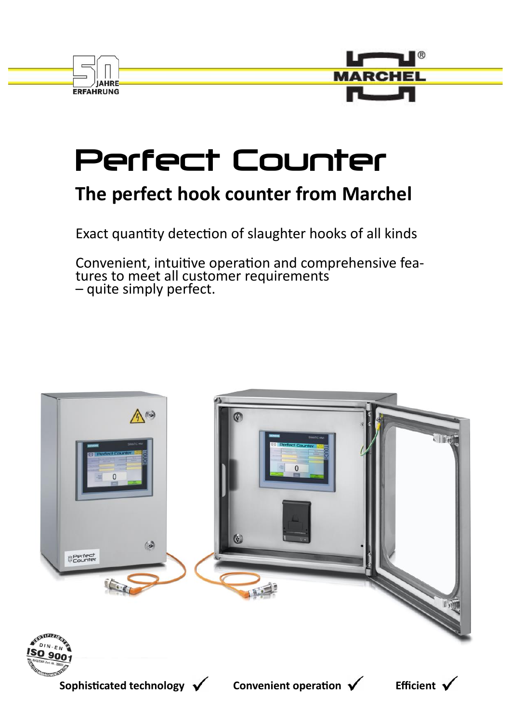



# Perfect Counter

# **The perfect hook counter from Marchel**

Exact quantity detection of slaughter hooks of all kinds

Convenient, intuitive operation and comprehensive features to meet all customer requirements – quite simply perfect.

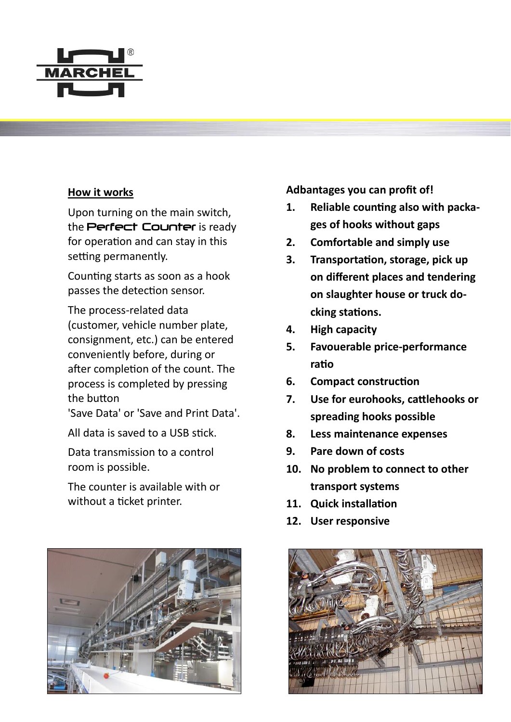

## **How it works**

Upon turning on the main switch, the Perfect Counter is ready for operation and can stay in this setting permanently.

Counting starts as soon as a hook passes the detection sensor.

The process-related data (customer, vehicle number plate, consignment, etc.) can be entered conveniently before, during or after completion of the count. The process is completed by pressing the button

'Save Data' or 'Save and Print Data'.

All data is saved to a USB stick.

Data transmission to a control room is possible.

The counter is available with or without a ticket printer.



**Adbantages you can profit of!**

- **1. Reliable counting also with packages of hooks without gaps**
- **2. Comfortable and simply use**
- **3. Transportation, storage, pick up on different places and tendering on slaughter house or truck docking stations.**
- **4. High capacity**
- **5. Favouerable price-performance ratio**
- **6. Compact construction**
- **7. Use for eurohooks, cattlehooks or spreading hooks possible**
- **8. Less maintenance expenses**
- **9. Pare down of costs**
- **10. No problem to connect to other transport systems**
- **11. Quick installation**
- **12. User responsive**

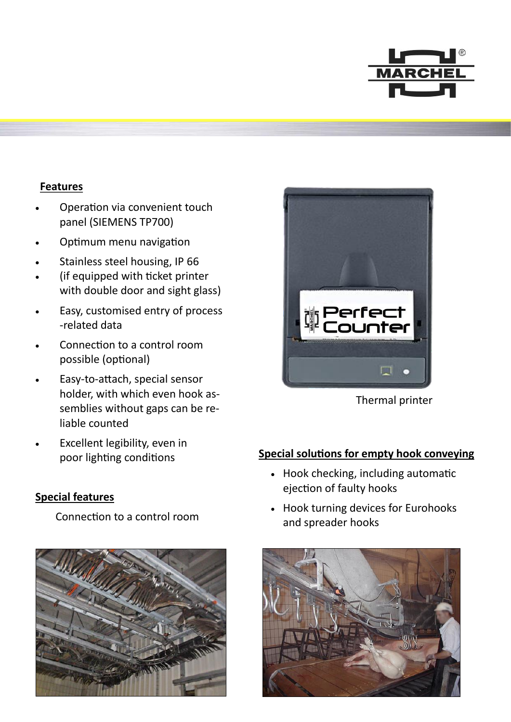

## **Features**

- Operation via convenient touch panel (SIEMENS TP700)
- Optimum menu navigation
- Stainless steel housing, IP 66
- (if equipped with ticket printer with double door and sight glass)
- Easy, customised entry of process -related data
- Connection to a control room possible (optional)
- Easy-to-attach, special sensor holder, with which even hook assemblies without gaps can be reliable counted
- Excellent legibility, even in poor lighting conditions

#### **Special features**

Connection to a control room





Thermal printer

#### **Special solutions for empty hook conveying**

- Hook checking, including automatic ejection of faulty hooks
- Hook turning devices for Eurohooks and spreader hooks